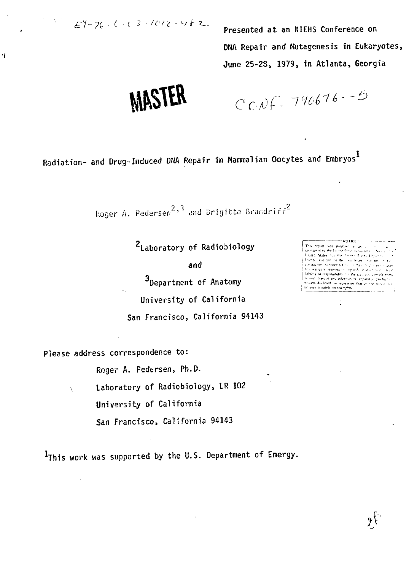$EY - 76 - (-2) - 1012 - 482$ 

٩Į

Presented at an NIEHS Conference on DNA Repair and Mutagenesis in Eukaryotes, June 25-23, 1979, in Atlanta, Georgia

**MASTER** 

 $CCAF.790676-5$ 

Radiation- and Drug-Induced DNA Repair in Mammalian Oocytes and Embryos<sup>1</sup>

Roger A. Pedersen<sup>2,3</sup> and Brigitte Brandriff<sup>2</sup>

2Laboratory of Radiobiology

and

3Department of Anatomy University of California San Francisco, California 94143 This report was prepared as an all sited States our the f in test. Slates. Departmet friends not any of the employee into the recontractors subcontraction (or ther integration) cases<br>any warranty expression implied, in assuming in regalisation<br>lability or regordiability to the accuracy complements<br>or usefulness of any information apparation product process disclosed or represents that its esemblance

 $\mathcal{E}$ 

÷

 $\sim$  Notice  $\sim$   $\sim$ 

Please address correspondence to:

Ň

Roger A. Federsen, Ph.D.

Laboratory of Radiobiology, LR 102

University of California

San Francisco, California 94143

IThis work was supported by the U.S. Department of Energy.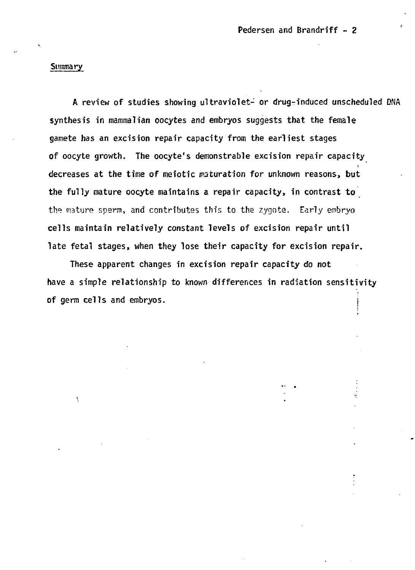#### **Summary**

**A review of studies showing ultraviolet- or drug-induced unscheduled DNA synthesis in mammalian oocytes and embryos suggests that the female gamete has an excision repair capacity from the earliest stages of oocyte growth. The oocyte's demonstrable excision repair capacity decreases at the time of meiotic maturation for unknown reasons, but the fully mature oocyte maintains a repair capacity, in contrast to the mature sperm, and contributes thir. to the zygota. Early embryo cells maintain relatively constant levels of excision repair until late fetal stages, when they lose their capacity for excision repair.**

**These apparent changes in excision repair capacity do not have a simple relationship to known differences in radiation sensitivity of germ cells and embryos. (**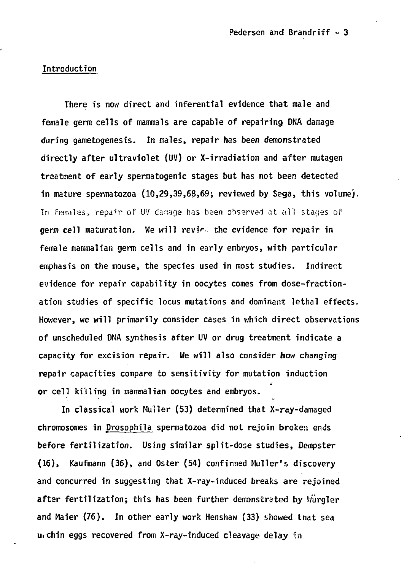## **Introduction**

**There is now direct and inferential evidence that male and female germ cells of mammals are capable of repairing DNA damage during gametogenesis. In males, repair has been demonstrated directly after ultraviolet (UV) or X-irradiation and after mutagen treatment of early spermatogenic stages but has not been detected in mature spermatozoa (10,29,39,69,69; reviewed by Sega, this volume). In femalas, repair of UV damage has been observed cit all stages of germ cell maturation. We will revif the evidence for repair in female mammalian germ cells and in early embryos, with particular emphasis on the mouse, the species used in most studies. Indirect evidence for repair capability in oocytes comes from dose-fractionation studies of specific locus mutations and dominant lethal effects. However, we will primarily consider cases in which direct observations of unscheduled DNA synthesis after UV or drug treatment indicate a capacity for excision repair. We will also consider how changing repair capacities compare to sensitivity for mutation induction or cell killing in mammalian oocytes and embryos.**

**In classical work MuJler (53) determined that X-ray-damaged chromosomes in Drosophila spermatozoa did not rejoin broken ends before fertilization. Using similar split-dose studies, Dempster (16), Kaufmann (36), and Oster (54) confirmed Muller's discovery and concurred in suggesting that X-ray-induced breaks are rejoined after fertilization; this has been further demonstrated by Wurgler and Maier (76). In other early work Henshaw (33) showed that sea urchin eggs recovered from X-ray-induced cleavage delay in**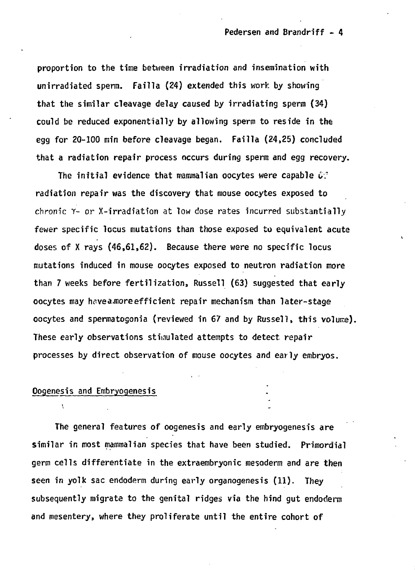**proportion to the time between irradiation and insemination with unirradiated sperm. Failla (24) extended this work by showing that the similar cleavage delay caused by irradiating sperm (34) could be reduced exponentially by allowing sperm to reside in the egg for 20-100 min before cleavage began. Failla (24,25) concluded that a radiation repair process occurs during sperm and egg recovery.**

**The initial evidence that mammalian oocytes were capable (,:' radiation repair was the discovery that mouse oocytes exposed to chronic Y- or X-irradiation at low dose rates incurred substantially fewer specific locus mutations than those exposed to equivalent acute doses of X rays (46,61,62). Because there were no specific locus mutations induced in mouse oocytes exposed to neutron radiation more than 7 weeks before fertilization, Russell (63) suggested that early oocytes may hc?vea,moreefficient repair mechanism than later-stage oocytes and spermatogonia (reviewed in 67 and by Russell, this volume). These early observations stimulated attempts to detect repair processes by direct observation of mouse oocytes and early embryos.**

## **Oogenesis and Embryogenesis**

 $\mathbf{v}$ 

**The general features of oogenesis and early embryogenesis are similar in most mammalian species that have been studied. Primordial germ cells differentiate in the extraembryonic mesoderm and are then seen in yolk sac endoderm during early organogenesis (11). They subsequently migrate to the genital ridges via the hind gut endoderm and mesentery, where they proliferate until the entire cohort of**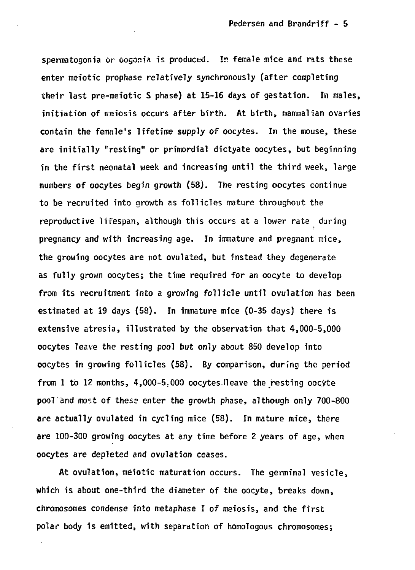spermatogonia or oogonia is produced. In female mice and rats these **enter meiotic prophase relatively synchronously (after completing their last pre-meiotic S phase) at 15-16 days of gestation. In males, initiation of meiosis occurs after birth. At birth, mammalian ovaries contain the female's lifetime supply of oocytes. In the mouse, these are initially "resting" or primordial dictyate oocytes, but beginning in the first neonatal week and increasing until the third week, large numbers of oocytes begin growth (58). The resting oocytes continue to be recruited into growth as follicles mature throughout the reproductive lifespan, although this occurs at a lower rate during pregnancy and with increasing age. In immature and pregnant mice, the growing oocytes are not ovulated, but instead they degenerate as fully grown oocytes; the time required for an oocyte to develop from its recruitment into a growing follicle until ovulation has been estimated at 19 days (58). In immature mice (0-35 days) there is extensive atresia, illustrated by the observation that 4,000-5,000 oocytes leave the resting pool but only about 850 develop into oocytes in growing follicles (58). By comparison, during the period from 1 to 12 months, 4,000-5P000 oocytes Heave the resting oocyte pool and most of these enter the growth phase, although only 700-800 are actually ovulated in cycling mice (58). In mature mice, there are 100-300 growing oocytes at any time before 2 years of age, when oocytes are depleted and ovulation ceases.**

**At ovulation, meiotic maturation occurs. The germinal vesicle, which is about one-third the diameter of the oocyte, breaks down, chromosomes condense into metaphase I of meiosis, and the first polar body is emitted, with separation of homologous chromosomes;**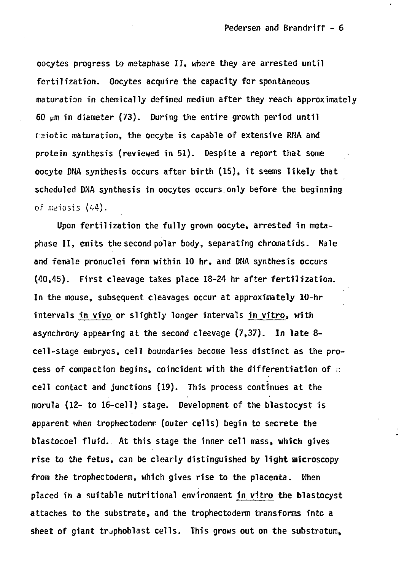**oocytes progress to metaphase II, where they are arrested until fertilization. Oocytes acquire the capacity for spontaneous maturation in chemically defined medium after they reach approximately 60 pm in diameter (73). During the entire growth period until reiotic maturation, the occyte is capable of extensive RMA and protein synthesis (reviewed in 51). Despite a report that some oocyte DNA synthesis occurs after birth (15), it ssems likely that scheduled DNA synthesis in oocytes occurs.only before the beginning of nwiosis K4) .**

**Upon fertilization the fully grown oocyte, arrested in metaphase II, emits the second polar body, separating chromatids. Male and female pronuclei form within 10 hr, and DNA synthesis occurs (40,45). First cleavage takes place 18-24 hr after fertilization. In the mouse, subsequent cleavages occur at approxifnately 10-hr intervals in vivo or slightly longer intervals in vitro, with asynchrony appearing at the second cleavage (7,37). In late 8 cell-stage embryos, cell boundaries become less distinct as the process of compaction begins, coincident with the differentiation of ;: cell contact and junctions (19). This process continues at the morula (12- to 16-cell) stage. Development of the blastocyst is apparent when trophectodenr (outer cells) begin to secrete the blastocoel fluid. At this stage the inner cell mass, which gives rise to the fetus, can be clearly distinguished by light microscopy from the trophectoderm, which gives rise to the placenta. When placed in a suitable nutritional environment in vitro the blastocyst attaches to the substrate, and the trophectoderm transforms intc a** sheet of giant trophoblast cells. This grows out on the substratum,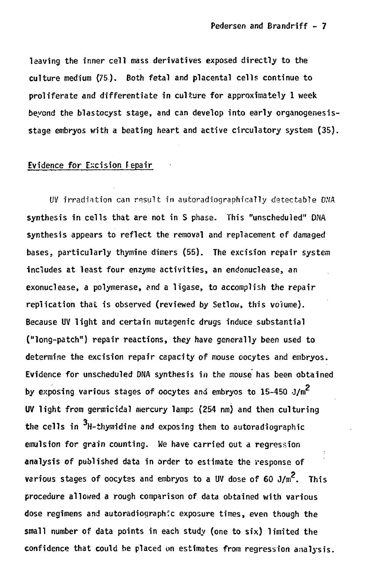**leaving the inner cell mass derivatives exposed directly to the culture medium (75). Both fetal and placental cells continue to proliferate and differentiate in culture for approximately 1 week beyond the blastocyst stage, and can develop into early organogenesisstage embryos with a beating heart and active circulatory system (35).**

# **Evidence for Excision Fepair**

**UV irradiation can result in autoradiographicaiiy detectable DNA synthesis in cells that are not in S phase. This "unscheduled" DNA synthesis appears to reflect the removal and replacement of damaged bases, particularly thymine dimers (55). The excision repair system includes at least four enzyme activities, an endonuclease, an exonuclease, a polymerase, and a ligase, to accomplish the repair replication that is observed (reviewed by Setlow, this volume). Because UV light and certain mutagenic drugs induce substantial ("long-patch") repair reactions, they have generally been used to determine the excision repair capacity of mouse oocytes and embryos. Evidence for unscheduled DNA synthesis in the mouse has been obtained by exposing various stages of oocytes and embryos to 15-450 J/m UV light from germicidal mercury lamps (254 nm) and then culturing the cells in H-thymidine and exposing them to autoradiographic emulsion for grain counting. We have carried out a regression analysis of published data in order to estimate the response of various stages of oocytes and embryos to a UV dose of 60 J/m<sup>2</sup>. This procedure allowed a rough comparison of data obtained with various dose regimens and autoradiographfc exposure times, even though the small number of data points in each study (one to six) limited the confidence that could be placed on estimates from regression analysis.**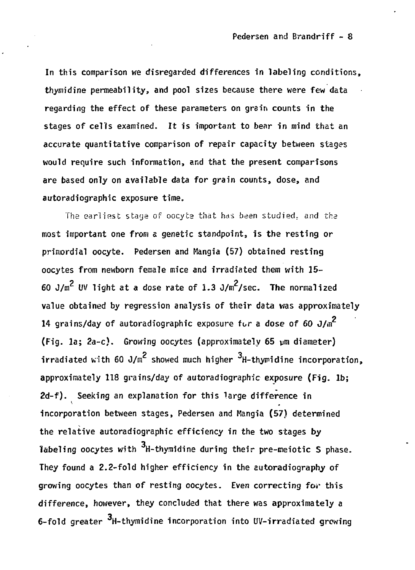In this comparison we disregarded differences in labeling conditions. **thymidine permeability, and pool sizes because there were few data regarding the effect of these parameters on grein counts in the stages of cells examined. It is important to bear in mind that an accurate quantitative comparison of repair capacity between stages would require such information, and that the present comparisons are based only on available data for grain counts, dose, and autoradiographic exposure time.**

**The earliest stage of oocyca that has been studied; and tha most important one from a genetic standpoint, is the resting or primordial oocyte. Pedersen and Mangia (57) obtained resting oocytes from newborn female mice and irradiated them with 15-** 60  $J/m^2$  UV light at a dose rate of 1.3  $J/m^2$ /sec. The normalized value obtained by regression analysis of their data was approximately **14 grains/day of autoradiographic exposure for a dose of 60**  $J/\mathfrak{m}^2$ **(Fig. 1a: 2a-c).** Growing oocytes (approximately 65 um diameter)  $i$ rradiated with 60 J/m<sup>2</sup> showed much higher  $3$ H-thymidine incorporation, **2 3** approximately 118 grains/day of autoradiographic exposure (Fig. 1b;<br>2d-f). Seeking an explanation for this large difference in **approximately 118 grains/day of autoradiographic exposure (Fig. lb; 2d-f). Seeking an explanation for this large difference in** the relative autoradiographic efficiency in the two stages by<br>labeling oocytes with <sup>3</sup>H-thymidine during their pre-meiotic S phase. **the relative autoradiographic efficiency in the two stages by labeling oocytes with H-thymidine during their pre-meiotic S phase.** growing oocytes than of resting cocytes. Even correcting for this **growing ones than**  $\mathbf{y}$  and the second correction for the separation  $\mathbf{y}$  **c difference, however, they concluded that they concluded that they concluded that they concluded the set of the set of the set of the set of the set of the set of the set of the set of the set of the set of the set of the**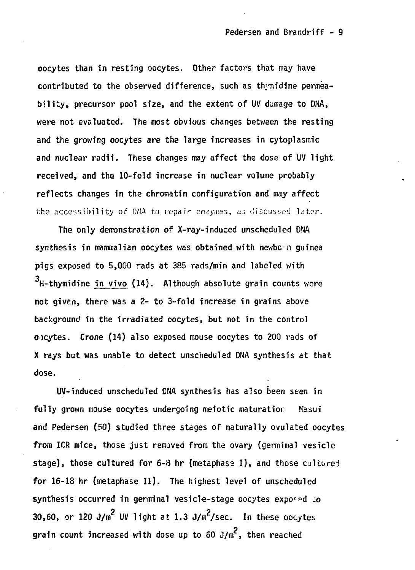**oocytes than in resting oocytes. Other factors that may have contributed to the observed difference, such as thy^idine permeability, precursor pool size, and the extent of UV damage to DNA, were not evaluated. The most obvious changes between the resting and the growing oocytes are the large increases in cytoplasmic and nuclear radii. These changes may affect the dose of UV light received, and the 10-fold increase in nuclear volume probably reflects changes in the chromatin configuration and may affect the accessibility of DNA to repair enzymes, as discussed lator.**

**The only demonstration of X-ray-induced unscheduled DNA synthesis in mammalian oocytes was obtained with newbo n guinea pigs exposed to 5,000 rads at 385 rads/min and labeled with H-thymidine in vivo (14). Although absolute grain counts were not given, there was a 2- to 3-fold increase in grains above background in the irradiated oocytes, but not in the control ocytes. Crone (14) also exposed mouse oocytes to 200 rads of X rays but was unable to detect unscheduled DNA synthesis at that dose.**

**UV-induced unscheduled DNA synthesis has also been seen in fully grown mouse oocytes undergoing meiotic maturatior; Masui and Pedersen (50) studied three stages of naturally ovulated oocytes from ICR mice, those just removed from the ovary (germinal vesicle** stage), those cultured for 6-8 hr (metaphase I), and those culture: **for 16-18 hr (metaphase II). The highest level of unscheduled** synthesis occurred in germinal vesicle-stage oocytes exposed to **30,60, or 120 J/m<sup>2</sup> UV light at 1.3 J/m<sup>2</sup>/sec. In these oocyte** grain count increased with dose up to 60  $J/m^2$ , then reached **grain count increased with dose up to 60 J/m , then reached**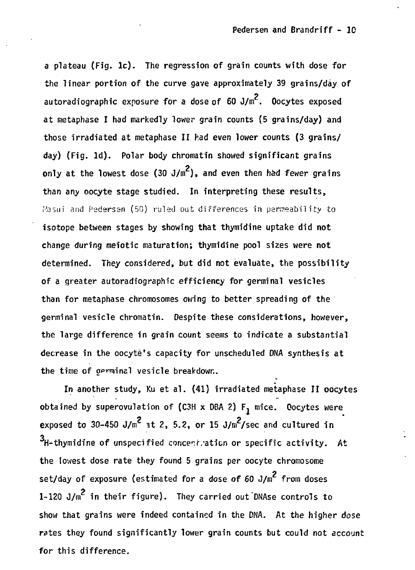**a plateau (Fig. lc). The regression of grain counts with dose for the linear portion of the curve gave approximately 39 grains/day of autoradiographic exposure for a dose of 60 J/m . Oocytes exposed at metaphase I had markedly lower grain counts (5 grains/day) and those irradiated at metaphase II had even lower counts (3 grains/ day) (Fig. Id}. Polar body chromatin showed significant grains** only at the lowest dose  $(30 \text{ J/m}^2)$ , and even then had fewer grains **than any oocyte stage studied. In interpreting these results, i-'asui and F'sdersan (50) ruled out differences in permeability to isotope between stages by showing that thymidine uptake did not change during meiotic maturation; thymidine pool sizes were not determined. They considered, but did not evaluate, the possibility of a greater autoradiographic efficiency for germinal vesicles than for metaphase chromosomes owing to better spreading of the germinal vesicle chromatin. Despite these considerations, however, the large difference in grain count seems to indicate a substantial decrease in the oocyte's capacity for unscheduled DNA synthesis at the time of gamins! vesicle breakdown.**

**In another study, Ku et al. (41) irradiated metaphase II oocytes obtained by superovulation of {C3H x DBA 2) F, mice. Oocytes were** exposed to  $30-450$  J/m<sup>2</sup> at 2, 5.2, or 15 J/m<sup>2</sup>/sec and cultured in **H-thymidine of unspecified concerr/ation or specific activity. At the lowest dose rate they found 5 grains per oocyte chromosome** set/day of exposure (estimated for a dose of 60 J/m<sup>2</sup> from doses **1-120 J/m in their figure). They carried out'DNAse controls to show that grains were indeed contained in the DNA. At the higher dose rates they found significantly lower grain counts but could not account for this difference.**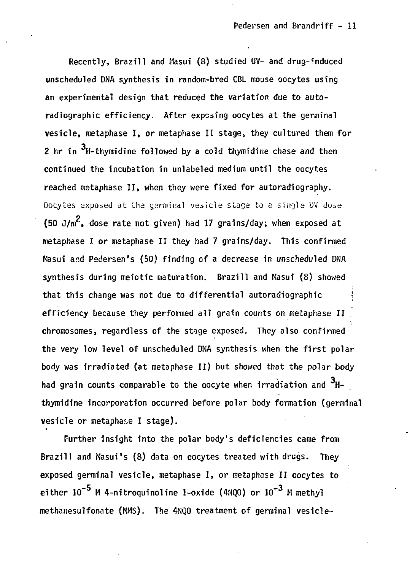Recently, Brazill and Masui (8) studied UV- and drug-induced unscheduled DNA synthesis in random-bred CBL mouse oocytes using an experimental design that reduced the variation due to autoradiographic efficiency. After exposing oocytes at the germinal vesicle, metaphase I, or metaphase II stage, they cultured them for 2 hr in  $3H$ -thymidine followed by a cold thymidine chase and then continued the incubation in unlabeled medium until the oocytes reached metaphase II, when they were fixed for autoradiography. Oocytes exposed at the yerainal vesicle stage to a single UV dose (50 J/ $m^2$ , dose rate not given) had 17 grains/day; when exposed at metaphase I or mataphase II they had 7 grains/day. This confirmed Masui and Pedersen's (50) finding of a decrease in unscheduled DNA synthesis during meiotic maturation. Brazill and Masui (8) showed that this change was not due to differential autoradiographic | efficiency because they performed all grain counts on metaphase II chromosomes, regardless of the stage exposed. They also confirmed the very low level of unscheduled DNA synthesis when the first polar body was irradiated (at metaphase II) but showed that the polar body had grain counts comparable to the oocyte when irradiation and  $3H$ thymidine incorporation occurred before polar body formation (germinal vesicle or metaphase I stage).

Further insight into the polar body's deficiencies came from Brazill and Masui's (8) data on oocytes treated with drugs. They exposed germinal vesicle, metaphase I, or metaphase II oocytes to either  $10^{-5}$  M 4-nitroquinoline 1-oxide (4NOO) or  $10^{-3}$  M methyl methanesulfonate (MMS). The 4NQO treatment of germinal vesicle-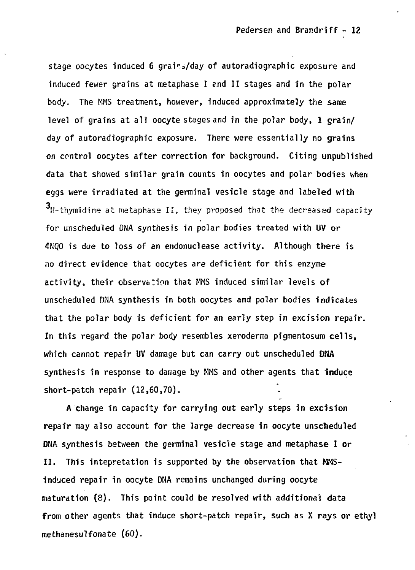stage oocytes induced 6 grains/day of autoradiographic exposure and induced fewer grains at metaphase I end II stages and in the polar body. The MMS treatment, however, induced approximately the same level of grains at all oocyte stages and in the polar body, 1 grain/ day of autoradiographic exposure. There were essentially no grains on control oocytes after correction for background. Citing unpublished data that showed similar grain counts in oocytes and polar bodies when eggs were irradiated at the germinal vesicle stage and labeled with  $3_H$ -thymidine at metaphase II, they proposed that the decreased capacity for unscheduled DNA synthesis in polar bodies treated with UV or 4NQO is due to loss of an endonuclease activity. Although there is no direct evidence that oocytes are deficient for this enzyme activity, their observation that MMS induced similar levels of unscheduled DNA synthesis in both oocytes and polar bodies indicates that the polar body is deficient for an early step in excision repair. In this regard the polar body resembles xeroderma pigmentosum cells, which cannot repair UV damage but can carry out unscheduled DNA synthesis in response to damage by MMS and other agents that induce short-patch repair (12,60,70).

A change in capacity for carrying out early steps in excision repair may also account for the large decrease in oocyte unscheduled DNA synthesis between the germinal vesicle stage and metaphase I or II. This intepretation is supported by the observation that WMSinduced repair in oocyte DNA remains unchanged during oocyte maturation (8). This point could be resolved with additional data from other agents that induce short-patch repair, such as X rays or ethyl methanesulfonate (60).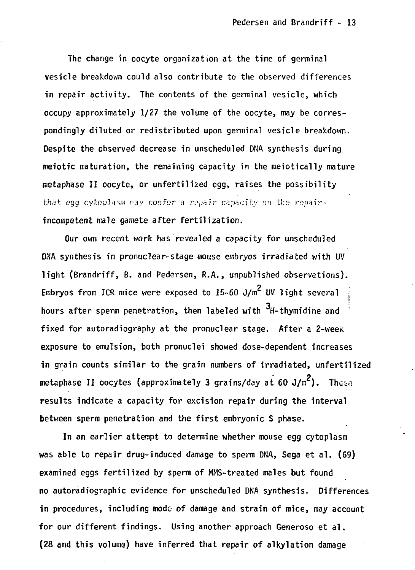**The change in oocyte organization at the time of germinal vesicle breakdown could also contribute to the observed differences in repair activity. The contents of the germinal vesicle, which occupy approximately 1/27 the volume of the oocyte, may be correspondingly diluted or redistributed upon germinal vesicle breakdown. Despite the observed decrease in unscheduled DNA synthesis during meiotic maturation, the remaining capacity in the meiotically mature metaphase II oocyte, or unfertilized egg, raises the possibility that egg cy!:opiosni ny confor a repair capacity on the repairincompetent male gamete after fertilization.**

**Our own recent work has revealed a capacity for unscheduled DNA synthesis in pronuclear-stage mouse embryos irradiated with UV light (Brandriff, B. and Pedersen, R.A., unpublished observations).** Embryos from ICR mice were exposed to  $15-60$  J/m<sup>2</sup> UV light several **hours after sperm penetration, then labeled with <sup>3</sup>H-thymidine and** fixed for autoradiography at the pronuclear stage. After a 2-week **exposure to emulsion, both pronuclei showed dose-dependent increases** in grain counts similar to the grain numbers of irradiated, unfertilized **metaphase II oocytes (approximately 3 grains/day at 60 J/m<sup>2</sup>). These** results indicate a capacity for excision repair during the interval between sperm penetration and the first embryonic S phase.

In an earlier attempt to determine whether mouse egg cytoplasm was able to repair drug-induced damage to sperm DNA, Sega et al. (69) examined eggs fertilized by sperm of MMS-treated males but found no autoradiographic evidence for unscheduled DNA synthesis. Differences in procedures, including mode of damage and strain of mice, may account for our different findings. Using another approach Generoso et al. **(28 and this volume) have inferred that repair of alkylation damage** 

**(28 and this volume) have inferred that repair of alkylation damage**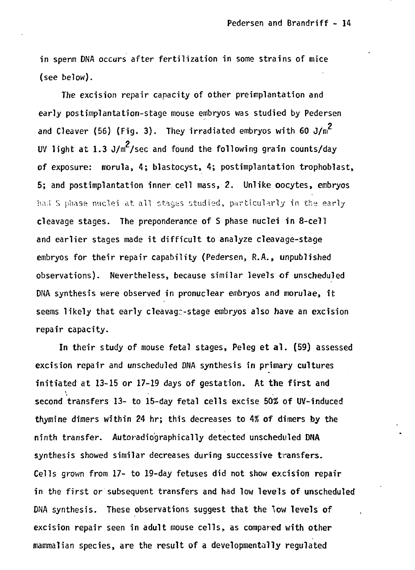in sperm DNA occurs after fertilization in some strains of mice (see below).

The excision repair capacity of other preimplantation and early postimplantation-stage mouse embryos was studied by Pedersen and Cleaver (56) (Fig. 3). They irradiated embryos with 60  $J/m^2$ UV light at 1.3 J/m<sup>2</sup>/sec and found the following grain counts/day of exposure: morula, 4; blastocyst, 4; postimplantation trophoblast, 5: and postimplantation inner cell mass, 2. Unlike oocytes, embryos had S phase nuclei at all stages studied, particularly in the early cleavage stages. The preponderance of S phase nuclei in 8-cell and earlier stages made it difficult to analyze cleavage-stage embryos for their repair capability (Pedersen, R.A., unpublished observations). Nevertheless, because similar levels of unscheduled DNA synthesis were observed in pronuclear embryos and morulae, it seems likely that early cleavage-stage embryos also have an excision seems likely that early cleavage-stage embryos also have an excision

In their study of mouse fetal stages, Peleg et al. (59) assessed excision repair and unscheduled DNA synthesis in primary cultures initiated at 13-15 or 17-19 days of gestation. At the first and second transfers 13- to 15-day fetal cells excise 50% of UV-induced thymine dimers within 24 hr; this decreases to  $4%$  of dimers by the ninth transfer. Autoradiographically detected unscheduled DNA ninth transfer. Autoradiographically detected unscheduled DNA DNA synthesis. These observations suggest that the low levels of excision repair seen in adult mouse cells, as compared with other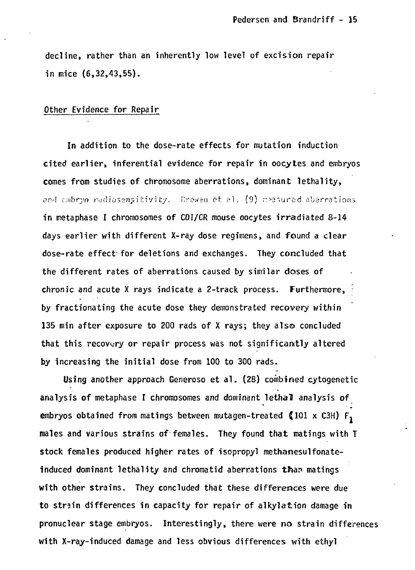**decline, rather than an inherently low level of excision repair in mice (6,32,43,55).**

## **Other Evidence for Repair**

**In addition to the dose-rate effects for mutation induction cited earlier, inferential evidence for repair in oocytes and embryos comes from studies of chromosome aberrations, dominant lethality,** and cmbryo radiosensitivity. Crewen et al. (9) reasured aberrations **in metaphase I chromosomes of CDI/CR mouse oocytes irradiated 8-14 days earlier with different X-ray dose regimens, and found a clear dose-rate effect-for deletions and exchanges. They concluded that the different rates of aberrations caused by similar doses of chronic and acute X rays indicate a 2-track process. Furthermore, • by fractionating the acute dose they demonstrated recovery within 135 min after exposure to 200 rads of X rays; they also concluded that this recovery or repair process was not significantly altered by increasing the initial dose from 100 to 300 rads.**

**Using another approach Generoso et al. (28) combined cytogenetic analysis of metaphase I chromosomes and dominant lethal analysis of embryos obtained from matings between mutagen-treated {101 x C3H) F, males and various strains of females. They found that matings with T stock females produced higher rates of isopropyl methanesulfonateinduced dominant lethality and chromatid aberrations thar» matings with other strains. They concluded that these differences were due to strain differences in capacity for repair of alkylation damage in pronuclear stage embryos. Interestingly, there were no strain differences with X-ray-induced damage and less obvious differences with ethyl**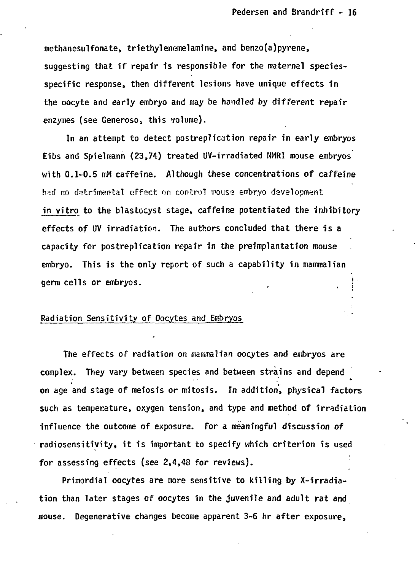**methanesulfonate, triethylemimelamine, and benzo(a)pyrene, suggesting that if repair is responsible for the maternal speciesspecific response, then different lesions have unique effects in the oocyte and early embryo and may be handled by different repair enzymes (see Generosos this volume).**

**In an attempt to detect postreplication repair in early embryos Eibs and Spielmann (23,74) treated UV-irradiated NMRI mouse embryos with 0,1-0.5 mM caffeine. Although these concentrations of caffeine** had no detrimental effect on control mouse embryo development **in vitro to the blastocyst stage, caffeine potentiated the inhibitory effects of UV irradiation. The authors concluded that there is a capacity for postreplication repair in the preimplantation mouse embryo. This is the only report of such a capability in mammalian germ cells or embryos. ;**

## **Radiation Sensitivity of Oocytes and Embryos**

**The effects of radiation on mammalian oocytes and embryos are complex. They vary between species and between strains and depend on age and stage of meiosis or mitosis. In addition, physical factors such as temperature, oxygen tension, and type and method of irradiation Influence the outcome of exposure. For a meaningful discussion of radiosensitivity, it is important to specify which criterion is used for assessing effects (see 2,4,48 for reviews).**

**Primordial oocytes are more sensitive to killing by X-irradiation than later stages of oocytes in the juvenile and adult rat and mouse. Degenerative changes become apparent 3-6 hr after exposure,**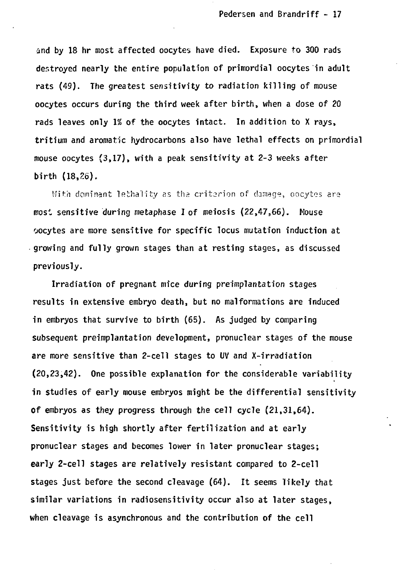**and by 18 hr most affected oocytes have died. Exposure to 300 rads destroyed nearly the entire population of primordial oocytes in adult rats (49). The greatest sensitivity to radiation killing of mouse oocytes occurs during the third week after birth, when a dose of 20 rads leaves only 1% of the oocytes intact. In addition to X rays, tritium and aromatic hydrocarbons also have lethal effects on primordial mouse oocytes (3,17), with a peak sensitivity at 2-3 weeks after birth (18,26).**

With dominant lethality as the criterion of damage, oocytes are **most sensitive during metaphase I of meiosis (22,47,66). Mouse oocytes are more sensitive for specific locus mutation induction at growing and fully grown stages than at resting stages, as discussed previously.**

**Irradiation of pregnant mice during preimplantation stages results in extensive embryo death, but no malformations are induced in embryos that survive to birth (65). As judged by comparing subsequent preimplantation development, pronuclear stages of the mouse are more sensitive than 2-cell stages to UV and X-irradiation (20,23,42). One possible explanation for the considerable variability in studies of early mouse embryos might be the differential sensitivity of embryos as they progress through the cell cycle (21,31,64). Sensitivity is high shortly after fertilization and at early pronuclear stages and becomes lower in later pronuclear stages; early 2-cell stages are relatively resistant compared to 2-cell stages just before the second cleavage (64). It seems likely that similar variations in radiosensitivity occur also at later stages, when cleavage is asynchronous and the contribution of the cell**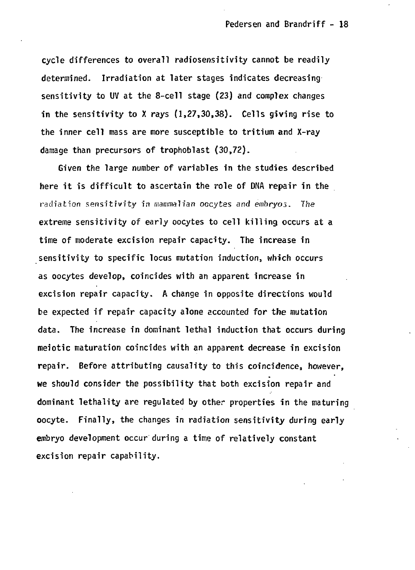**cycle differences to overall radiosensitivity cannot be readily determined. Irradiation at later stages indicates decreasing sensitivity to UV at the 8-cell stage (23) and complex changes in the sensitivity to X rays (1,27,30,38). Cells giving rise to the inner cell mass are more susceptible to tritium and X-ray damage than precursors of trophoblast (30,72).**

**Given the large number of variables in the studies described here it is difficult to ascertain the role of DNA repair in the radiation sensitivity in mammalian oocytes and embryos. The extreme sensitivity of early oocytes to cell killing occurs at a time of moderate excision repair capacity. The increase in sensitivity to specific locus mutation induction, which occurs as oocytes develop, coincides with an apparent increase in excision repair capacity. A change in opposite directions would be expected if repair capacity alone accounted for the mutation data. The increase in dominant lethal induction that occurs during meiotic maturation coincides with an apparent decrease in excision repair. Before attributing causality to this coincidence, however, we should consider the possibility that both excision repair and dominant lethality are regulated by other properties in the maturing oocyte. Finally, the changes in radiation sensitivity during early embryo development occur during a time of relatively constant excision repair capability.**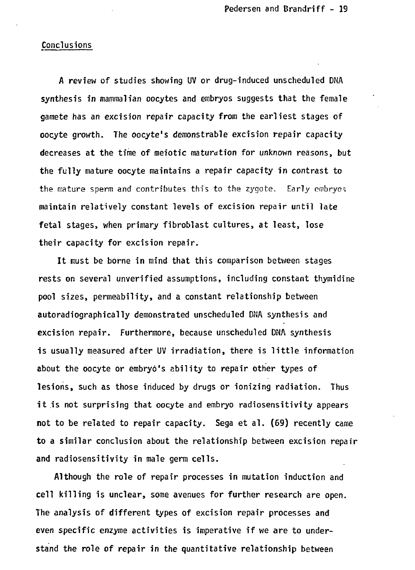#### **Conclusions**

**A review of studies showing UV or drug-induced unscheduled DNA synthesis in mammalian oocytes and embryos suggests that the female gamete has an excision repair capacity from the earliest stages of oocyte growth. The oocyte's demonstrable excision repair capacity decreases at the time of meiotic maturation for unknown reasons, but the fully mature oocyte maintains a repair capacity in contrast to the mature sperm and contributes this to the zygote. Early embryos maintain relatively constant levels of excision repair until late fetal stages, when primary fibroblast cultures, at least, lose their capacity for excision repair.**

**It must be borne in mind that this comparison between stages rests on several unverified assumptions, including constant thymidine pool sizes, permeability, and a constant relationship between autoradiographically demonstrated unscheduled DNA synthesis and excision repair. Furthermore, because unscheduled DNA synthesis is usually measured after UV irradiation, there is little information about the oocyte or embryo's ability to repair other types of lesions, such as those induced by drugs or ionizing radiation. Thus it is not surprising that oocyte and embryo radiosensitivity appears not to be related to repair capacity. Sega et al. (69) recently came to a similar conclusion about the relationship between excision repair and radiosensitivity in male germ cells.**

**Although the role of repair processes in mutation induction and cell killing is unclear, some avenues for further research are open. The analysis of different types of excision repair processes and even specific enzyme activities is imperative if we are to understand the role of repair in the quantitative relationship between**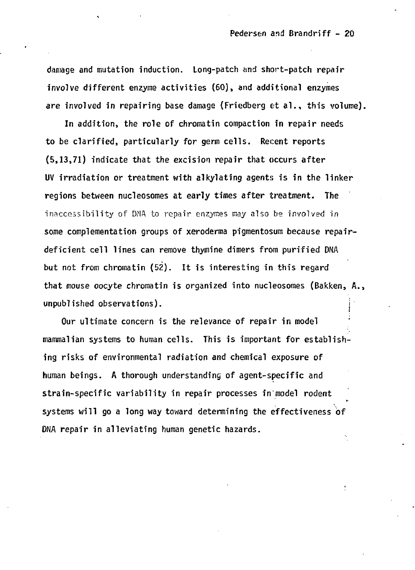**damage and mutation induction. Long-patch and short-patch repair involve different enzyme activities (60), and additional enzymes are involved in repairing base damage (Friedberg et al., this volume).**

**In addition, the role of chromatin compaction in repair needs to be clarified, particularly for germ cells. Recent reports (5,13,71) indicate that the excision repair that occurs after UV irradiation or treatment with alkylating agents is in the linker regions between nucleosomes at early times after treatment. The inaccessibility of DNA to repair enzymes may also be involved in some complementation groups of xeroderma pigmentosum because repairdeficient cell lines can remove thymine dimers from purified DNA but not from chromatin (52). It is interesting in this regard that mouse oocyte chromatin is organized into nucleosomes (Bakken, A., unpublished observations). j**

**Our ultimate concern is the relevance of repair in model mammalian systems to human cells. This is important for establishing risks of environmental radiation and chemical exposure of human beings. A thorough understanding of agent-specific and** strain-specific variability in repair processes in model rodent **systems will go a long way toward determining the effectiveness of DNA repair in alleviating human genetic hazards.**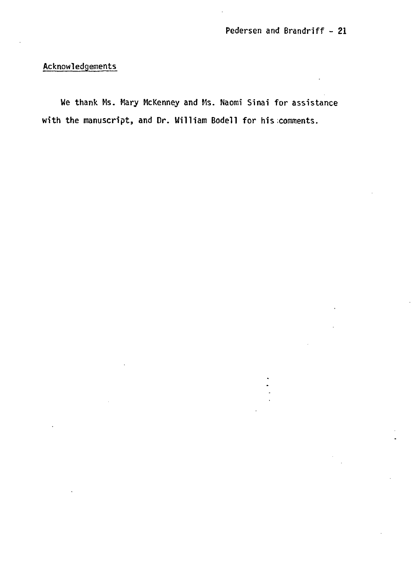**Acknowledgements**

**We thank Ms. Mary McKenney and Ms. Naomi Sinai for assistance** with the manuscript, and Dr. William Bodell for his comments.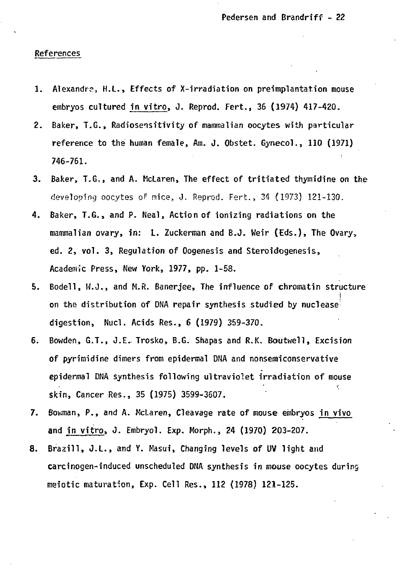### References

- 1. Alexandra, H.L., Effects of X-irradiation on preimplantation mouse embryos cultured in vitro, J. Reprod. Fert., 36 (1974) 417-420.
- 2. Baker, T.G., Radiosensitivity of mammalian oocytes with particular reference to the human female, Am. J. Obstet. Gynecol., 110 (1971) 746-761.
- 3. Baker, T.G., and A. McLaren, The effect of tritiated thymidine on the developing oocytes oF mice, J. Reprod. Fert., 34 (1973) 121-130.
- 4. Baker, T.G., and P. Meal, Action of ionizing radiations on the mammalian ovary, in: L. Zuckerman and B.J. Weir (Eds.), The Ovary, ed. 2, vol. 3, Regulation of Oogenesis and Steroidogenesis, Academic Press, New York, 1977, pp. 1-58.
- 5. Bodell, W.J., and M.R. Banerjee, The influence of chromatin structure I on the distribution of DNA repair synthesis studied by nuclease digestion, Nucl. Acids Res., 6 (1979) 359-370.
- 6. Bowden, G.T., J.E. Trosko, B.G. Shapas and R.K. Boutwell, Excision of pyrimidine dimers from epidermal DNA and nonsemiconservative epidermal DNA synthesis following ultraviolet irradiation of mouse skin, Cancer Res., 35 (1975) 3599-3607.
- 7. Bowman, P., and A. McLaren, Cleavage rate of mouse embryos in vivo and in vitro, J. Embryo!. Exp. Morph., 24 (1970) 203-207.
- 8. Brazill, J.L., and Y. Masui, Changing levels of UV light and carcinogen-induced unscheduled DNA synthesis in mouse oocytes during meiotic maturation, Exp. Cell Res., 112 (1978) 121-125.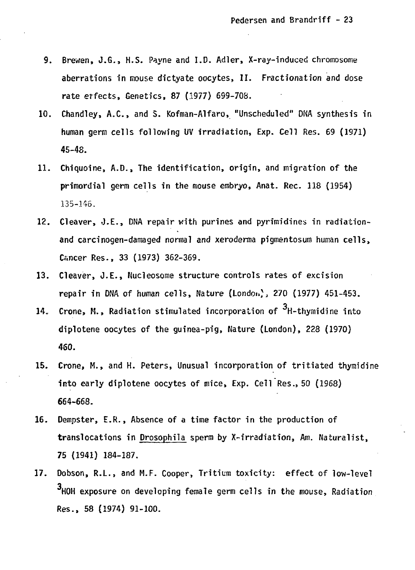- 9. Brewen, J.G., H.S. Payne and I.D. Adler, X-ray-induced chromosome aberrations in mouse dictyate oocytes, II. Fractionation and dose rate erfects, Genetics, 87 (1977) 699-708.
- 10. Chandley, A.C., and 5. Kofman-Alfaro, "Unscheduled" DMA synthesis in human germ cells following UV irradiation, Exp. Cell Res. 69 (1971) 45-48.
- 11. Chiquoine, A.D., The identification, origin, and migration of the primordial germ cells in the mouse embryo, Anat. Rec. 118 (1954) 135-H6.
- 12. Cleaver, J.E., DNA repair with purines and pyrimidines in radiationand carcinogen-damaged normal and xeroderma pigmentosum human cells, Cancer Res., 33 (1973) 362-369.
- 13. Cleaver, J.E., Nucleosome structure controls rates of excision repair in DNA of human cells, Nature (London), 270 (1977) 451-453.
- 14. Crone, M., Radiation stimulated incorporation of  $^3$ H-thymidine into diplotene oocytes of the guinea-pig, Nature (London), 228 (1970) 460.
- 15. Crone, M., and H. Peters, Unusual incorporation of tritiated thymidine into early diplotene oocytes of mice, Exp. Cell Res., 50 (1968) 664-668.
- 16. Dempster, E.R., Absence of a time factor in the production of trans!ocations in Drosophila sperm by X-irradiation, Am. Naturalist, 75 (1941) 184-187.
- 17. Dobson, R.L., and M.F. Cooper, Tritium toxicity: effect of low-level 3. HOH exposure on develo Res., 58 (1974) 91-100. 3, However, the model germ cells in the model germ cells in the model germ cells in the model germ cells in the model germ cells in the model germ cells in the model germ cells in the model germ cells in the model germ cells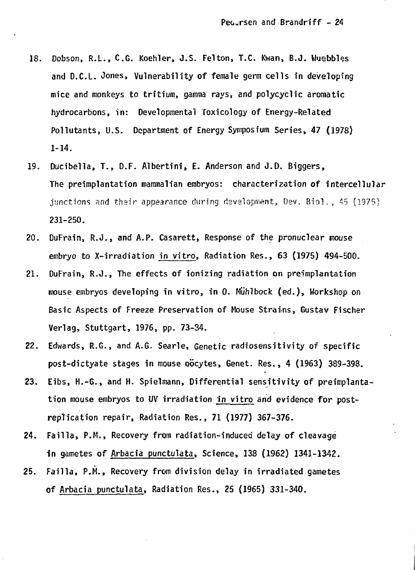- **18. Dobson, R.L., C.G. Koehler, J.S. Felton, T.C. Kwan, B.J. Wuebbles and D.C.L. Jones, Vulnerability of female germ cells in developing mice and monkeys to tritium, gamma rays, and polycyclic aromatic hydrocarbons, in: Developmental Toxicology of Energy-Related Pollutants, U.S. Department of Energy Symposium Series, 47 (1978) 1-14.**
- **19. Ducibella, T.s D.F. Albertini, E. Anderson and J.D. Biggers, The preimplantation mammalian embryos: characterization of intercellular** junctions and their appearance during development, Dev. Biol., 45 (1975) **231-250.**
- **20. DuFrain, R.J., and A.P. Casarett, Response of the pronuclear mouse embryo to X-irradiation in vitro, Radiation Res., 63 (1975) 494-500.**
- **21. DuFrain, R.J., The effects of ionizing radiation on preimplantation mouse embryos developing in vitro, in 0. Miihlbock (ed.), Workshop on Basic Aspects of Freeze Preservation of Mouse Strains, Gustav Fischer Verlag, Stuttgart, 1976, pp. 73-34.**
- **22. Edwards, R.G., and A.G. Searle, Genetic radiosensitivity of specific post-dictyate stages in mouse obcytes, Genet. Res., 4 (1963) 389-398.**
- **23. Eibs, H.-G., and H. Spielmann, Differential sensitivity of preimplantation mouse embryos to UV irradiation in vitro and evidence for postreplication repair, Radiation Res., 71 (1977) 367-376.**
- **24. Failla, P.M., Recovery from radiation-induced delay of cleavage in gametes of Arbacia punctulata, Science, 138 (1962) 1341-1342.**
- **25. Failla, P.M., Recovery from division delay in irradiated gametes of Arbacia punctulata, Radiation Res., 25 (1965) 331-340.**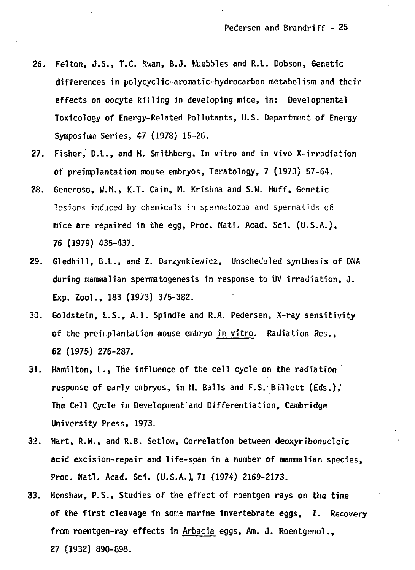- 26. Felton, J.S., T.C. Kwan, B.J. Wuebbles and R.L. Dobson, Genetic differences in polycyclic-aromatic-hydrocarbon metabolism and their effects on oocyte killing in developing mice, in: Developmental Toxicology of Energy-Related Pollutants, U.S. Department of Energy Symposium Series, 47 (1978) 15-26.
- 27. Fisher, D.L., and M. Smithberg, In vitro and in vivo X-irradiation of preimplantation mouse embryos, Teratology, 7 (1973} 57-64.
- 28. Generoso, W.H., K.T. Cain, H. Krishna and S.W. Huff, Genetic lesions induced by chemicals in spermatozoa and spermatids of mice are repaired in the egg, Proc. Natl. Acad. Sci. (U.S.A.), 76 (1979) 435-437.
- 29. Gledhill, B.L., and Z. Darzynkiewicz, Unscheduled synthesis of DNA during mammalian spermatogenesis in response to UV irradiation, J. Exp. Zoo!., 183 (1973) 375-382.
- 30. Goldstein, L.S., A.I. Spindle and R.A. Pedersen, X-ray sensitivity of the preimplantation mouse embryo in vitro. Radiation Res., 62 (1975) 276-287.
- 31. Hamilton, L., The influence of the cell cycle on the radiation response of early embryos, in H. Balls and F.S.-Billett (Eds.),' The Cell Cycle in Development and Differentiation, Cambridge University Press, 1973,
- 32. Hart, R.W., and R.B. Setlow, Correlation between deoxyribonucleic acid excision-repair and life-span in a number of mammalian species, Proc. Natl. Acad. Sci. (U.S.A.), 71 (1974) 2169-2173.
- 33. Henshaw, P.S., Studies of the effect of roentgen rays on the time of the first cleavage in some marine invertebrate eggs, I. Recovery from roentgen-ray effects in Arbacia eggs, Am. J. Roentgenol., 27 (1932) 890-898.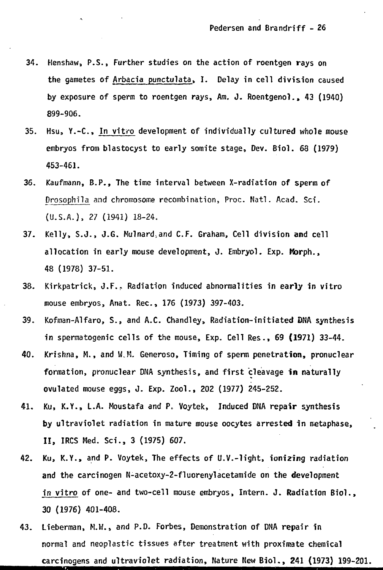- **34. Henshaw, P.S., Further studies on the action of roentgen rays on the gametes of Arbacia punctulata, I. Delay in cell division caused by exposure of sperm to roentgen rays, Am. J. Roentgenol., 43 (1940) 899-906.**
- **35. Hsu, Y.-C, In vitro development of individually cultured whole mouse embryos from blastocyst to early somite stage, Dev. Biol. 68 (1979) 453-461.**
- **36. Kaufmann, B.P., The time interval between X-radiation of sperm of Drosophila and chromosome recombination, Proc. Nat!. Acad. Sci. (U.S.A.), 11 (1941) 18-24.**
- **37- Kelly, S.J., J.G. Mulnard.and C.F. Graham, Cell division and cell allocation in early mouse development, J. Embryol. Exp. Morph., 48 (1978) 37-51.**
- **38. Kirkpatrick, J.F.. Radiation induced abnormalities in early in vitro mouse embryos, Anat. Rec , 176 (1973) 397-403.**
- **39. Kofman-Alfaro, S., and A.C. Chandley, Radiation-initiated DNA synthesis in spermatogenic cells of the mouse, Exp. Cell Res., 69 (1971) 33-44.**
- **40. Krishna, M., and W.M. Generoso, Timing of sperm penetration, pronuclear formation, pronuclear DNA synthesis, and first cleavage in naturally ovulated mouse eggs, J. Exp. Zoo!., 202 (1977) 245-252.**
- **41. Ku, K.Y., L.A. Moustafa and P. Voytek, Induced DNA repair synthesis by ultraviolet radiation in mature mouse oocytes arrested in metaphase, II, IRCS Med. Sci., 3 (1975) 607.**
- **42. Ku, K.Y., and P. Voytek, The effects of U.V.-light, ioni2ing radiation and the carcinogen N-acetoxy-2-fluorenylacetamide on the development in vitro of one- and two-cell mouse embryos, Intern. J. Radiation Biol., 30 (1976) 401-408.**
- **43. Lieberman, M.W., and P.D. Forbes, Demonstration of DNA repair in normal and neoplastic tissues after treatment with proximate chemical carcinogens and ultraviolet radiation, Nature New Biol., 241 (1973) 199-201.**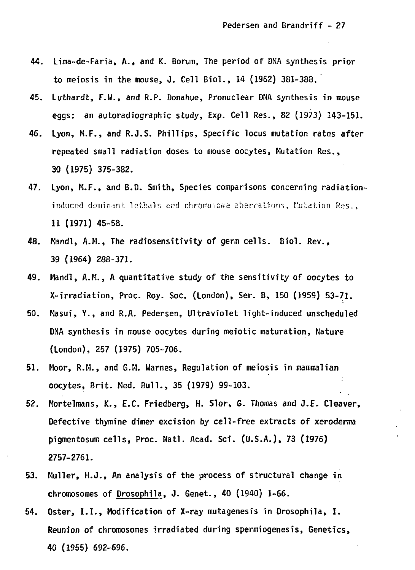- **44. Lima-de-Faria, A., and K. Borum, The period of DNA synthesis prior to meiosis in the mouse, J. Cell Biol., 14 (1962) 381-388.**
- **45. Luthardt, F.W., and R.P. Donahue, Pronuclear DNA synthesis in mouse eggs: an autoradiographic study, Exp. Cell Res., 82 (1973) 143-151.**
- **46. Lyon, M.F., and R.J.S. Phillips, Specific locus mutation rates after repeated small radiation doses to mouse oocytes, Mutation Res., 30 (1975) 375-382.**
- **47. Lyon, M.F., and B.D. Smith, Species comparisons concerning radiationinduced doiiiin-int lothalr. and chroposouie aberrations, Mutation Res., 11 (1971) 45-58.**
- **48. Mandl, A.M., The radiosensitivity of germ cells. Biol. Rev., 39 (1964) 288-371.**
- **49. Hand!, A.M., A quantitative study of the sensitivity of oocytes to X-irradiation, Proc. Roy. Soc. (London), Ser. B, 150 (1959) 53-71.**
- **50. Masui, Y., and R.A. Pedersen, Ultraviolet light-induced unscheduled DNA synthesis in mouse oocytes during meiotic maturation, Nature (London), 257 (1975) 705-706.**
- **51. Moor, R.M., and G.M. Warnes, Regulation of meiosis in mammalian oocytes, Brit. Med. Bull., 35 (1979) 99-103.**
- **52. Mortelmans, K., E.C. Friedberg, H. Slor, G. Thomas and J.E- Cleaver, Defective thymine dimer excision by cell-free extracts of xeroderma pigmentosum cells, Proc. Natl. Acad. Sci. (U.S.A.), 73 (1976) 2757-2761.**
- **53. Muller, H.J., An analysis of the process of structural change in chromosomes of Drosophila, J. Genet., 40 (1940) 1-66.**
- **54. Oster, 1.1., Modification of X-ray mutagenesis in Drosophila\* I. Reunion of chromosomes irradiated during spermiogenesis, Genetics, 40 (1955) 692-696.**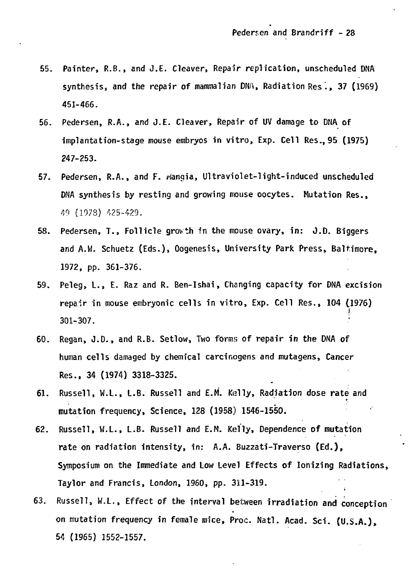- **55. Painter, R.B., and J.E. Cleaver, Repair replication, unscheduled DNA synthesis, and the repair of mammalian DNA, Radiation Res ., 37 (1969) 451-466.**
- **56. Pedersen, R.A., and J.E. Cleaver, Repair of UV damage to DNA of implantation-stage mouse embryos in vitro, Exp. Cell Res., 95 (1975) 247-253.**
- **57. Pedersen, R.A., and F. riangia, Ultraviolet-light-induced unscheduled DNA synthesis by resting and growing mouse oocytes. Mutation Res., 49 (1978) 425-429.**
- **58. Pedersen, T., Follicle growth fn the mouse ovary, in: J.D. Biggers and A.W. Schuetz (Eds.), Oogenesis, University Park Press, Baltimore, 1972, pp. 361-376.**
- **59. Peleg, L., E. Raz and R. Ben-Ishai, Changing capacity for DNA excision repair in mouse embryonic cells in vitro, Exp. Cell Res., 104 (1976)** i  $301 - 307$ .
- 60. Res., 34 (1974) 3318-3325.
- 61. **61. Russell, W.L., L.B. Russell and E.M. Kelly, Radiation dose rate and**

**mutation frequency, Science, 128 (1958) 1546-1550.**

- Russell, W.L., L.B. Russell and E.M. Kelly, Dependence of mutation  $62.$ **62. Russell, W.L., L.B. Russell and E.M. Kelly, Dependence of mutation rate on radiation intensity, in: A.A. Buzzati-Traverso (Ed.),** Symposium on the Immediate and Low Level Effects of Ionizing Radiations, **Symposium on the Immediate and Low Level Effects of Ionizing Radiations,** Taylor and Francis, London, 1960, pp. 311-319.
- 63. **63. Russell, W.L., Effect of the interval between irradiation and conception on mutation frequency in female mice, Proc. Natl. Acad. Sci. (U.S.A.), 54 (1965) 1552-1557.**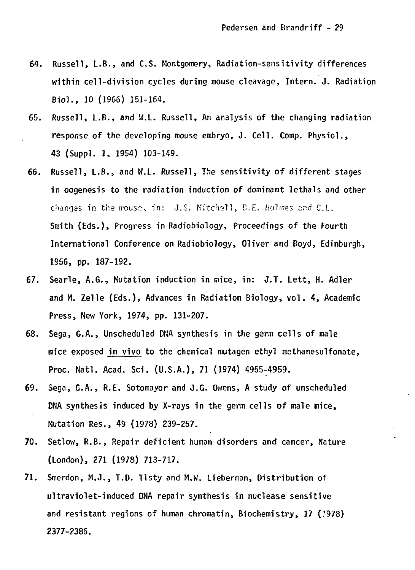- **64. Russell, L.B., and C.S. Montgomery, Radiation-sensitivity differences within cell-division cycles during mouse cleavage, Intern. J. Radiation Biol., 10 (1966) 151-164.**
- **65. Russell, L.B., and W.L. Russell, An analysis of the changing radiation response of the developing mouse embryo, J. Cell. Comp. Physiol., 43 (Suppl. 1, 1954) 103-149.**
- **66. Russell, L.B., and W.L. Russell, The sensitivity of different stages in oogenesis to the radiation induction of dominant lethals and other changas in the mouse, in: J.S. Mitchell, C.E. Holmes and C.L. Smith (Eds.), Progress in Radiobiology, Proceedings of the Fourth International Conference on Radiobiology, Oliver and Boyd, Edinburgh, 1956, pp. 187-192.**
- **67. Searle, A.G., Mutation induction in mice, in: J.T. Lett, H. Adler and M. Zelle (Eds.), Advances in Radiation Biology, vol. 4, Academic Press, New York, 1974, pp. 131-207.**
- **68. Sega, G.A., Unscheduled DNA synthesis in the germ cells of male mice exposed in vivo to the chemical mutagen ethyl methanesulfonate, Proc. Natl. Acad. Sci. (U.S.A.), 71 (1974) 4955-4959.**
- **69. Sega, G.A., R.E. Sotomayor and J.G. Owens, A study of unscheduled DNA synthesis induced by X-rays in the germ cells of male mice, Mutation Res., 49 (1978) 239-257.**
- **70. Setlow, R.B., Repair deficient human disorders and cancer, Nature (London), 271 (1978) 713-717.**
- **71. Smerdon, M.J., T.D. Tlsty and M.W. Lieberman, Distribution of ultraviolet-induced DNA repair synthesis in nuclease sensitive and resistant regions of human chromatin, Biochemistry, 17 (?978) 2377-2386.**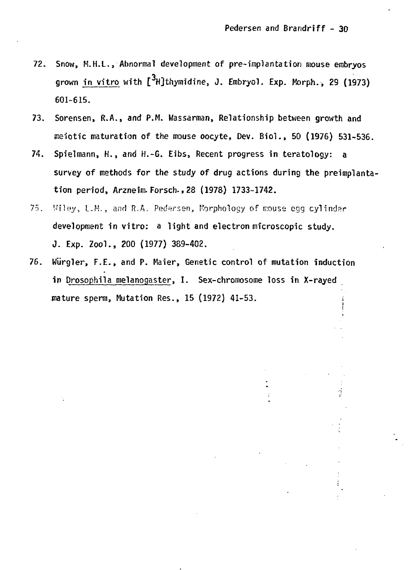- 72. Snow, M.H.L., Abnormal development of pre-implantation mouse embryos grown in vitro with  $\left[ \frac{3}{H} \right]$ thymidine, J. Embryol. Exp. Morph., 29 (1973) 601-615.
- 73. Sorensen, R.A., and P.M. Wassarman, Relationship between growth and meiotic maturation of the mouse oocyte, Dev. Biol., 50 (1976) 531-536.
- 74. Spielmann, H., and H.-G. Eibs, Recent progress in teratology: a survey of methods for the study of drug actions during the preimplantation period, Arzneim- Forsch., 28 (1978) 1733-1742.
- 75. Viley, L.M., and R.A. Pedersen, Morphology of mouse egg cylinder development in vitro: a light and electron microscopic study. J. Exp. Zool., 200 (1977) 389-402.
- 76. Wlirgler, F.E., and P. Maier, Genetic control of mutation induction in Drosophila melanogaster, I. Sex-chromosome loss in X-rayed mature sperm, Mutation Res., 15 (1972) 41-53.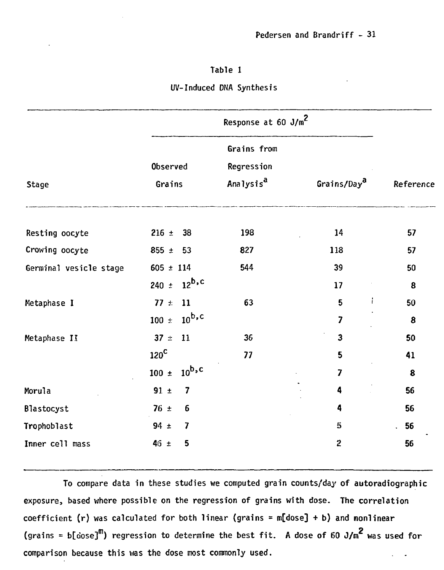# **Table 1**

# **UV-Induced DNA Synthesis**

| Stage                  | Response at 60 J/m <sup>2</sup>                    |                                                    |                         |           |
|------------------------|----------------------------------------------------|----------------------------------------------------|-------------------------|-----------|
|                        | Observed<br>Grains                                 | Grains from<br>Regression<br>Analysis <sup>a</sup> | Grains/Day <sup>a</sup> | Reference |
| Resting oocyte         | $216 \pm$<br>38                                    | 198                                                | 14                      | 57        |
| Crowing oocyte         | 855 $\pm$<br>- 53                                  | 827                                                | 118                     | 57        |
| Germinal vesicle stage | $605 \pm 114$                                      | 544                                                | 39                      | 50        |
|                        | $12^{\mathsf{b,c}}$<br>240 $\pm$                   |                                                    | 17                      | 8         |
| Metaphase I            | $77 \pm$<br>11<br>$10^{\mathrm{b,c}}$<br>$100 \pm$ | 63                                                 | Ť<br>5<br>7             | 50<br>8   |
| Metaphase II           | 37 $\pm$<br>11                                     | 36                                                 | $\overline{\mathbf{3}}$ | 50        |
|                        | $120^{\circ}$                                      | 77                                                 | 5                       | 41        |
|                        | $10^{\mathrm{b,c}}$<br>$100 \pm$                   |                                                    | $\overline{z}$          | 8         |
| Morula                 | 7<br>$91 \pm$                                      |                                                    | 4                       | 56        |
| Blastocyst             | $76 \pm$<br>6                                      |                                                    | 4                       | 56        |
| Trophoblast            | $94 \pm$<br>7                                      |                                                    | $\mathbb{S}$            | 56        |
| Inner cell mass        | $46 \pm$<br>5                                      |                                                    | $\overline{c}$          | 56        |

**To compare data in these studies we computed grain counts/day of autoradiographic exposure, based where possible on the regression of grains with dose. The correlation coefficient (r) was calculated for both linear (grains = m[dose] + b) and nonlinear** (grains = b[dose]<sup>m</sup>) regression to determine the best fit. A dose of 60 J/m<sup>2</sup> was used for **comparison because this was the dose most commonly used.**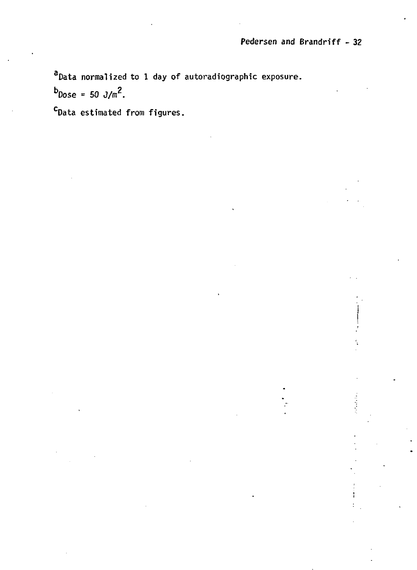Î

**<sup>a</sup>Data normalized to 1 day of autoradiographic exposure.**

 $b_{\text{Dose}} = 50 \text{ J/m}^2$ .

**<sup>c</sup>Data estimated from figures.**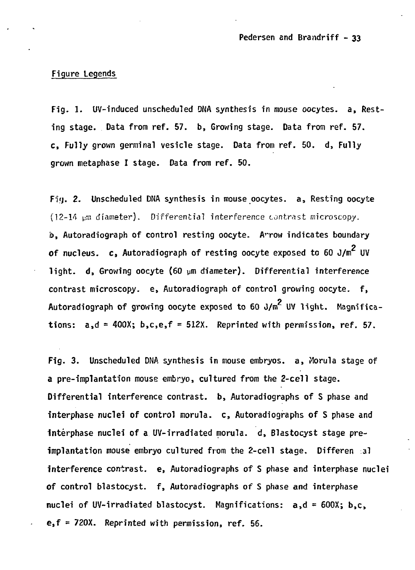## **Figure Legends**

**Fig. 1. UV-induced unscheduled DNA synthesis in mouse oocytes. a, Resting stage. Data from ref. 57. b, Growing stage. Data from ref. 57. c, Fully grown germinal vesicle stage. Data from ref. 50. d, Fully grown metaphase I stage. Data from ref. 50.**

**Fv}. 2. Unscheduled DNA synthesis in mouse oocytes. a, Resting oocyte (12-14 pm diameter). Differential interference contrast microscopy. b**, Autoradiograph of control resting oocyte. Arrow indicates boundary **2 of nucleus, c, Autoradiograph of resting oocyte exposed to 60 J/m UV light, d, Growing oocyte (60 urn diameter). Differential interference contrast microscopy, e, Autoradiograph of control growing oocyte. f,** Autoradiograph of growing oocyte exposed to 60 J/m<sup>2</sup> UV light. Magnifications:  $a_1d = 400X$ ;  $b_1c_2e_1f = 512X$ . Reprinted with permission, ref. 57.

**Fig. 3. Unscheduled DNA synthesis in mouse embryos, a, Morula stage of a pre-implantation mouse embryo, cultured from the 2-cell stage. Differential interference contrast, b, Autoradiographs of S phase and interphase nuclei of control morula. c, Autoradiographs of S phase and Interphase nuclei of a UV-irradiated morula. d, Blastocyst stage preimplantation mouse embryo cultured from the 2-cell stage. Differen al interference contrast, e, Autoradiographs of S phase and interphase nuclei of control blastocyst. f, Autoradiographs of S phase and interphase nuclei of UV-irradiated blastocyst. Magnifications: a,d = 600X; b,c, e,f = 720X. Reprinted with permission, ref. 56.**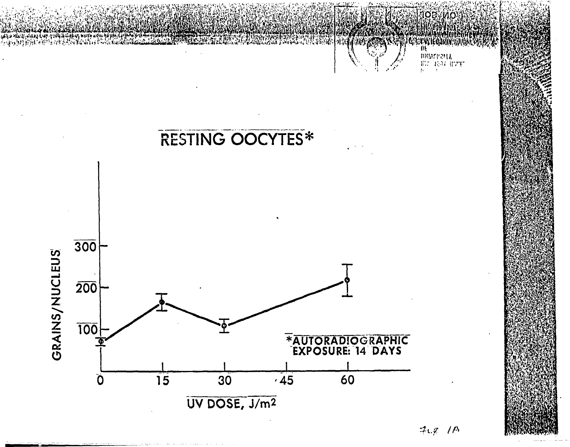

 $7.97/*M*$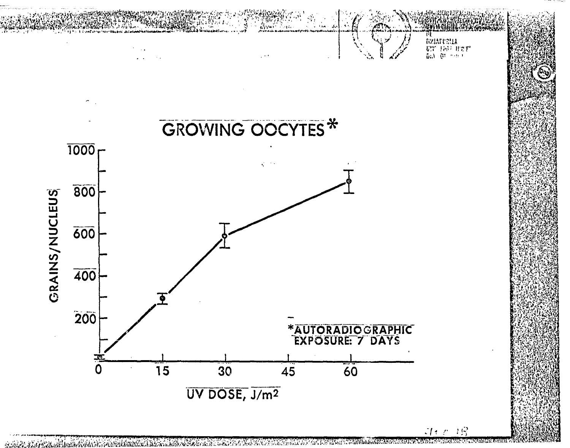

**TENT ESTAD MARKETING** TA NGC 2002 A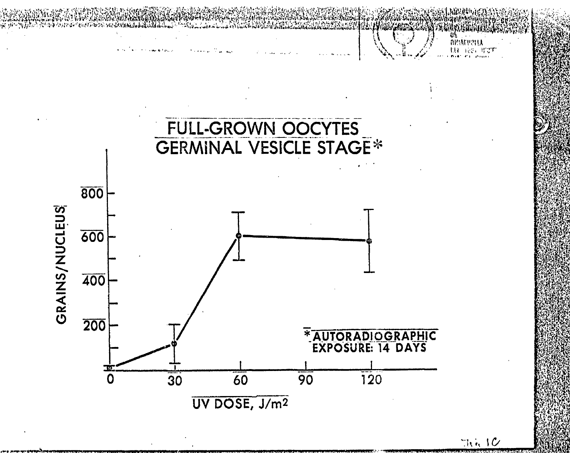

 $TM$  of  $10$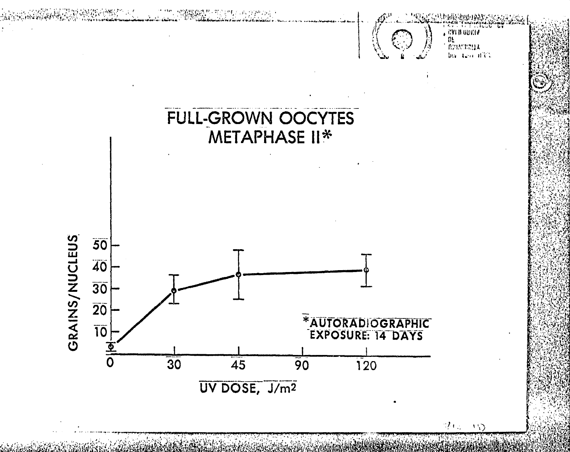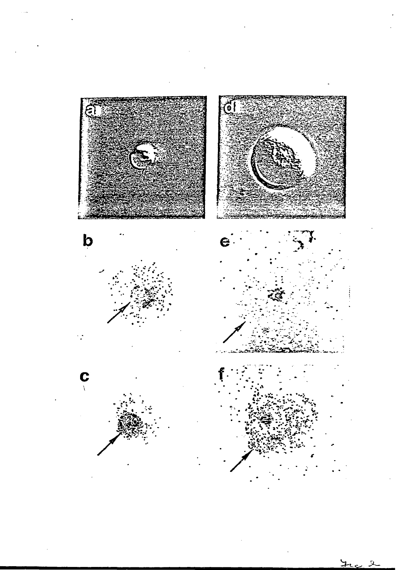